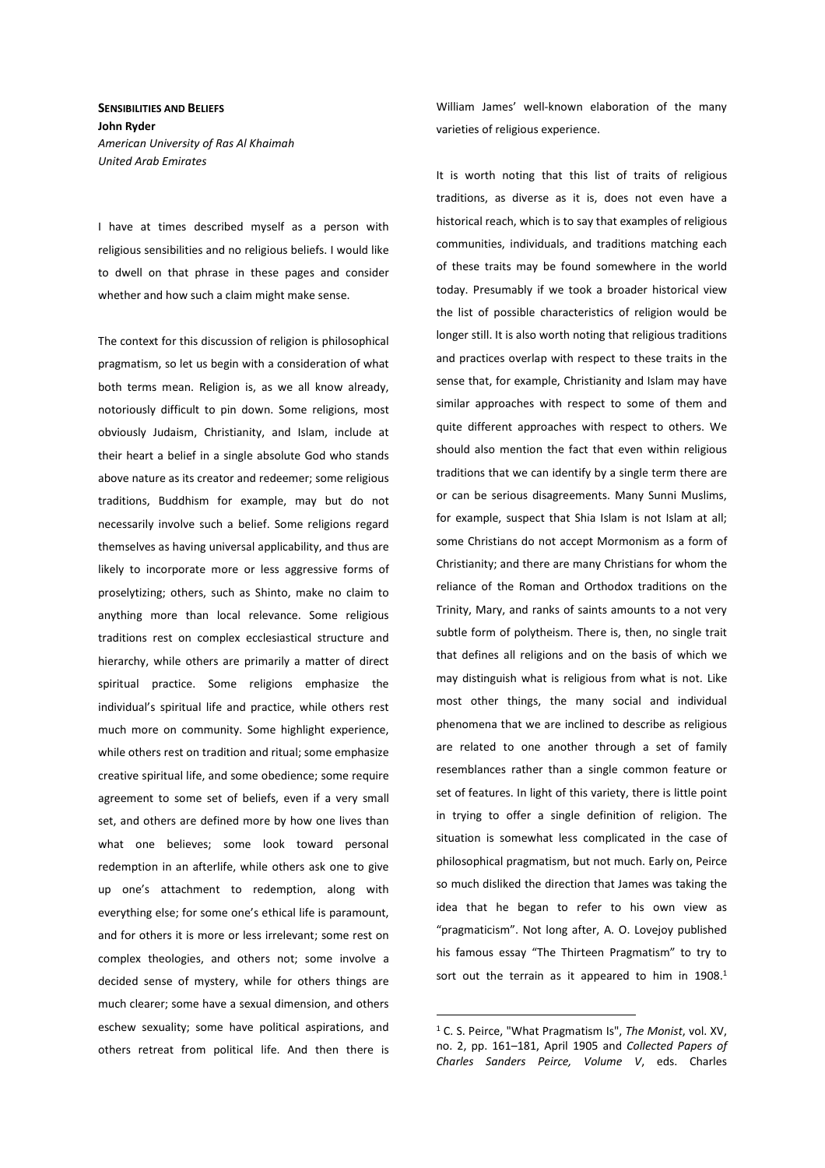**SENSIBILITIES AND BELIEFS John Ryder**  *American University of Ras Al Khaimah United Arab Emirates* 

I have at times described myself as a person with religious sensibilities and no religious beliefs. I would like to dwell on that phrase in these pages and consider whether and how such a claim might make sense.

The context for this discussion of religion is philosophical pragmatism, so let us begin with a consideration of what both terms mean. Religion is, as we all know already, notoriously difficult to pin down. Some religions, most obviously Judaism, Christianity, and Islam, include at their heart a belief in a single absolute God who stands above nature as its creator and redeemer; some religious traditions, Buddhism for example, may but do not necessarily involve such a belief. Some religions regard themselves as having universal applicability, and thus are likely to incorporate more or less aggressive forms of proselytizing; others, such as Shinto, make no claim to anything more than local relevance. Some religious traditions rest on complex ecclesiastical structure and hierarchy, while others are primarily a matter of direct spiritual practice. Some religions emphasize the individual's spiritual life and practice, while others rest much more on community. Some highlight experience, while others rest on tradition and ritual; some emphasize creative spiritual life, and some obedience; some require agreement to some set of beliefs, even if a very small set, and others are defined more by how one lives than what one believes; some look toward personal redemption in an afterlife, while others ask one to give up one's attachment to redemption, along with everything else; for some one's ethical life is paramount, and for others it is more or less irrelevant; some rest on complex theologies, and others not; some involve a decided sense of mystery, while for others things are much clearer; some have a sexual dimension, and others eschew sexuality; some have political aspirations, and others retreat from political life. And then there is William James' well-known elaboration of the many varieties of religious experience.

It is worth noting that this list of traits of religious traditions, as diverse as it is, does not even have a historical reach, which is to say that examples of religious communities, individuals, and traditions matching each of these traits may be found somewhere in the world today. Presumably if we took a broader historical view the list of possible characteristics of religion would be longer still. It is also worth noting that religious traditions and practices overlap with respect to these traits in the sense that, for example, Christianity and Islam may have similar approaches with respect to some of them and quite different approaches with respect to others. We should also mention the fact that even within religious traditions that we can identify by a single term there are or can be serious disagreements. Many Sunni Muslims, for example, suspect that Shia Islam is not Islam at all; some Christians do not accept Mormonism as a form of Christianity; and there are many Christians for whom the reliance of the Roman and Orthodox traditions on the Trinity, Mary, and ranks of saints amounts to a not very subtle form of polytheism. There is, then, no single trait that defines all religions and on the basis of which we may distinguish what is religious from what is not. Like most other things, the many social and individual phenomena that we are inclined to describe as religious are related to one another through a set of family resemblances rather than a single common feature or set of features. In light of this variety, there is little point in trying to offer a single definition of religion. The situation is somewhat less complicated in the case of philosophical pragmatism, but not much. Early on, Peirce so much disliked the direction that James was taking the idea that he began to refer to his own view as "pragmaticism". Not long after, A. O. Lovejoy published his famous essay "The Thirteen Pragmatism" to try to sort out the terrain as it appeared to him in 1908.<sup>1</sup>

<sup>1</sup> C. S. Peirce, "What Pragmatism Is", *The Monist*, vol. XV, no. 2, pp. 161–181, April 1905 and *Collected Papers of Charles Sanders Peirce, Volume V*, eds. Charles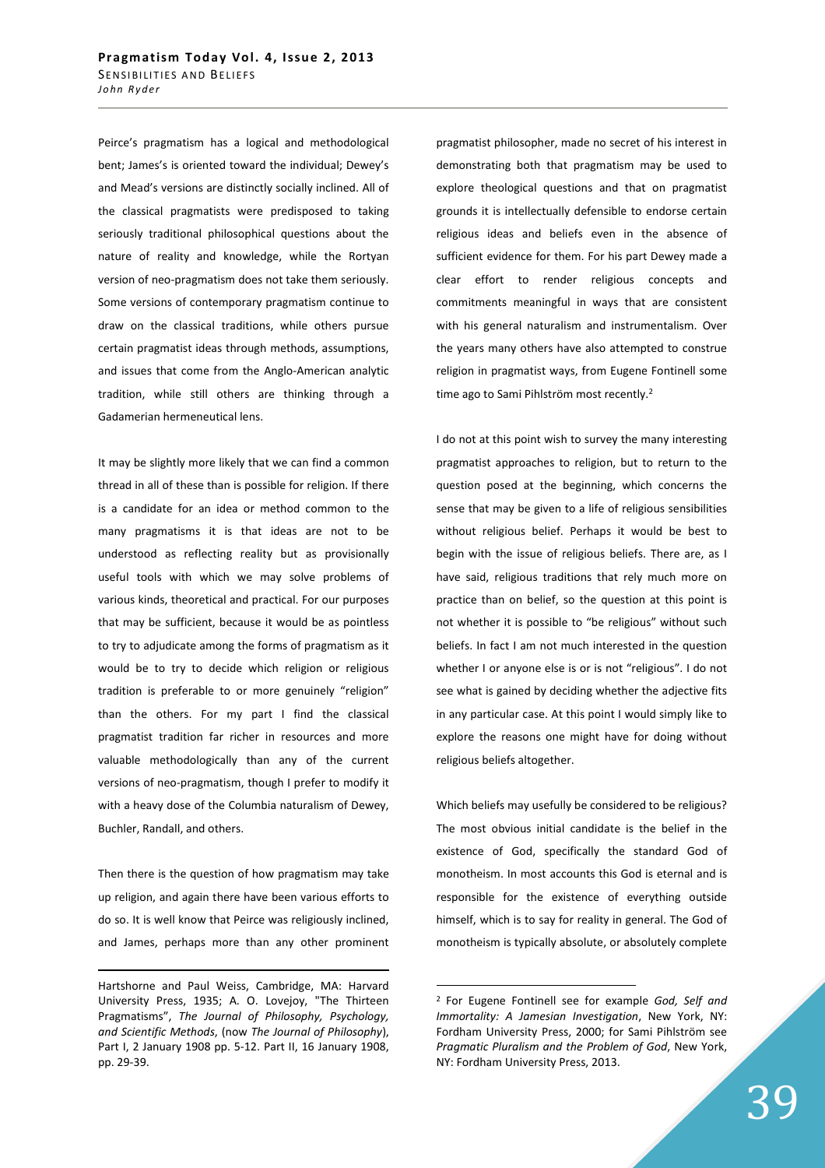Peirce's pragmatism has a logical and methodological bent; James's is oriented toward the individual; Dewey's and Mead's versions are distinctly socially inclined. All of the classical pragmatists were predisposed to taking seriously traditional philosophical questions about the nature of reality and knowledge, while the Rortyan version of neo-pragmatism does not take them seriously. Some versions of contemporary pragmatism continue to draw on the classical traditions, while others pursue certain pragmatist ideas through methods, assumptions, and issues that come from the Anglo-American analytic tradition, while still others are thinking through a Gadamerian hermeneutical lens.

It may be slightly more likely that we can find a common thread in all of these than is possible for religion. If there is a candidate for an idea or method common to the many pragmatisms it is that ideas are not to be understood as reflecting reality but as provisionally useful tools with which we may solve problems of various kinds, theoretical and practical. For our purposes that may be sufficient, because it would be as pointless to try to adjudicate among the forms of pragmatism as it would be to try to decide which religion or religious tradition is preferable to or more genuinely "religion" than the others. For my part I find the classical pragmatist tradition far richer in resources and more valuable methodologically than any of the current versions of neo-pragmatism, though I prefer to modify it with a heavy dose of the Columbia naturalism of Dewey, Buchler, Randall, and others.

Then there is the question of how pragmatism may take up religion, and again there have been various efforts to do so. It is well know that Peirce was religiously inclined, and James, perhaps more than any other prominent

<u>.</u>

pragmatist philosopher, made no secret of his interest in demonstrating both that pragmatism may be used to explore theological questions and that on pragmatist grounds it is intellectually defensible to endorse certain religious ideas and beliefs even in the absence of sufficient evidence for them. For his part Dewey made a clear effort to render religious concepts and commitments meaningful in ways that are consistent with his general naturalism and instrumentalism. Over the years many others have also attempted to construe religion in pragmatist ways, from Eugene Fontinell some time ago to Sami Pihlström most recently.<sup>2</sup>

I do not at this point wish to survey the many interesting pragmatist approaches to religion, but to return to the question posed at the beginning, which concerns the sense that may be given to a life of religious sensibilities without religious belief. Perhaps it would be best to begin with the issue of religious beliefs. There are, as I have said, religious traditions that rely much more on practice than on belief, so the question at this point is not whether it is possible to "be religious" without such beliefs. In fact I am not much interested in the question whether I or anyone else is or is not "religious". I do not see what is gained by deciding whether the adjective fits in any particular case. At this point I would simply like to explore the reasons one might have for doing without religious beliefs altogether.

Which beliefs may usefully be considered to be religious? The most obvious initial candidate is the belief in the existence of God, specifically the standard God of monotheism. In most accounts this God is eternal and is responsible for the existence of everything outside himself, which is to say for reality in general. The God of monotheism is typically absolute, or absolutely complete

Hartshorne and Paul Weiss, Cambridge, MA: Harvard University Press, 1935; A. O. Lovejoy, "The Thirteen Pragmatisms", *The Journal of Philosophy, Psychology, and Scientific Methods*, (now *The Journal of Philosophy*), Part I, 2 January 1908 pp. 5-12. Part II, 16 January 1908, pp. 29-39.

<sup>2</sup> For Eugene Fontinell see for example *God, Self and Immortality: A Jamesian Investigation*, New York, NY: Fordham University Press, 2000; for Sami Pihlström see *Pragmatic Pluralism and the Problem of God*, New York, NY: Fordham University Press, 2013.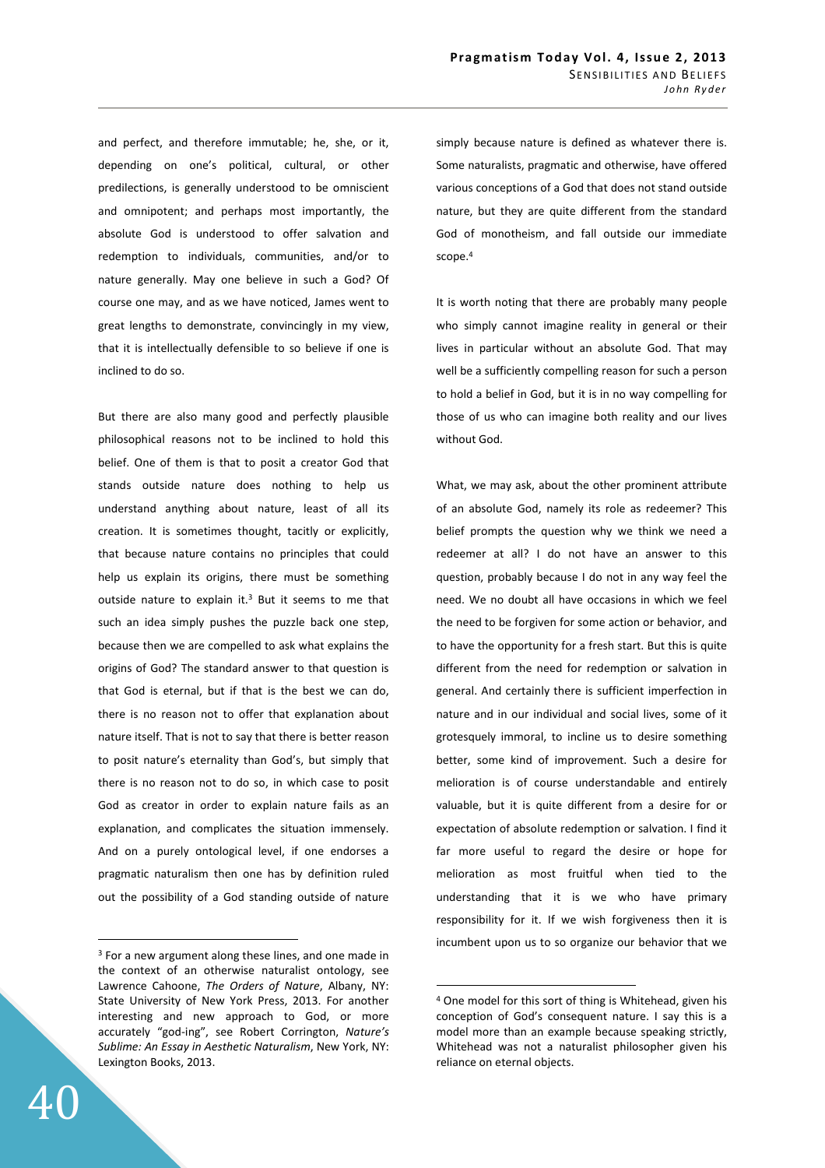and perfect, and therefore immutable; he, she, or it, depending on one's political, cultural, or other predilections, is generally understood to be omniscient and omnipotent; and perhaps most importantly, the absolute God is understood to offer salvation and redemption to individuals, communities, and/or to nature generally. May one believe in such a God? Of course one may, and as we have noticed, James went to great lengths to demonstrate, convincingly in my view, that it is intellectually defensible to so believe if one is inclined to do so.

But there are also many good and perfectly plausible philosophical reasons not to be inclined to hold this belief. One of them is that to posit a creator God that stands outside nature does nothing to help us understand anything about nature, least of all its creation. It is sometimes thought, tacitly or explicitly, that because nature contains no principles that could help us explain its origins, there must be something outside nature to explain it. $3$  But it seems to me that such an idea simply pushes the puzzle back one step, because then we are compelled to ask what explains the origins of God? The standard answer to that question is that God is eternal, but if that is the best we can do, there is no reason not to offer that explanation about nature itself. That is not to say that there is better reason to posit nature's eternality than God's, but simply that there is no reason not to do so, in which case to posit God as creator in order to explain nature fails as an explanation, and complicates the situation immensely. And on a purely ontological level, if one endorses a pragmatic naturalism then one has by definition ruled out the possibility of a God standing outside of nature

simply because nature is defined as whatever there is. Some naturalists, pragmatic and otherwise, have offered various conceptions of a God that does not stand outside nature, but they are quite different from the standard God of monotheism, and fall outside our immediate scope.<sup>4</sup>

It is worth noting that there are probably many people who simply cannot imagine reality in general or their lives in particular without an absolute God. That may well be a sufficiently compelling reason for such a person to hold a belief in God, but it is in no way compelling for those of us who can imagine both reality and our lives without God.

What, we may ask, about the other prominent attribute of an absolute God, namely its role as redeemer? This belief prompts the question why we think we need a redeemer at all? I do not have an answer to this question, probably because I do not in any way feel the need. We no doubt all have occasions in which we feel the need to be forgiven for some action or behavior, and to have the opportunity for a fresh start. But this is quite different from the need for redemption or salvation in general. And certainly there is sufficient imperfection in nature and in our individual and social lives, some of it grotesquely immoral, to incline us to desire something better, some kind of improvement. Such a desire for melioration is of course understandable and entirely valuable, but it is quite different from a desire for or expectation of absolute redemption or salvation. I find it far more useful to regard the desire or hope for melioration as most fruitful when tied to the understanding that it is we who have primary responsibility for it. If we wish forgiveness then it is incumbent upon us to so organize our behavior that we

 $\overline{a}$ 

<sup>&</sup>lt;sup>3</sup> For a new argument along these lines, and one made in the context of an otherwise naturalist ontology, see Lawrence Cahoone, *The Orders of Nature*, Albany, NY: State University of New York Press, 2013. For another interesting and new approach to God, or more accurately "god-ing", see Robert Corrington, *Nature's Sublime: An Essay in Aesthetic Naturalism*, New York, NY: Lexington Books, 2013.

<sup>4</sup> One model for this sort of thing is Whitehead, given his conception of God's consequent nature. I say this is a model more than an example because speaking strictly, Whitehead was not a naturalist philosopher given his reliance on eternal objects.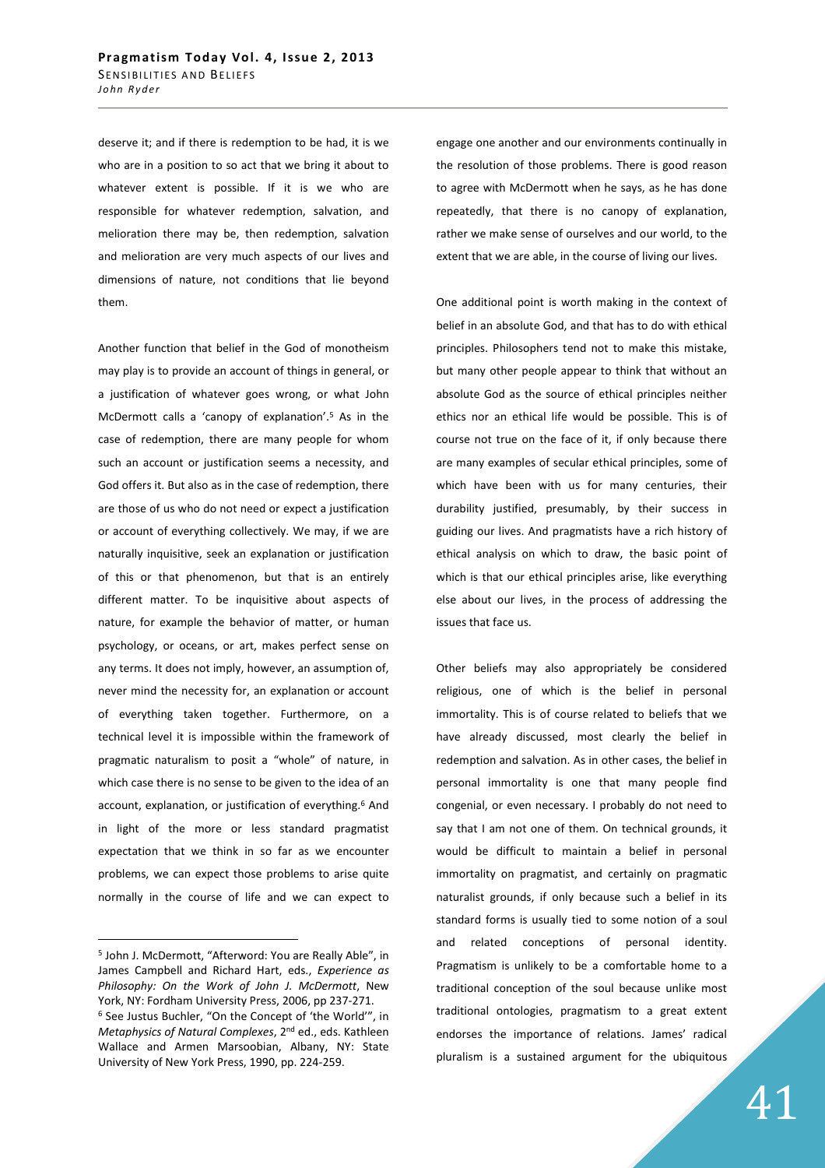deserve it; and if there is redemption to be had, it is we who are in a position to so act that we bring it about to whatever extent is possible. If it is we who are responsible for whatever redemption, salvation, and melioration there may be, then redemption, salvation and melioration are very much aspects of our lives and dimensions of nature, not conditions that lie beyond them.

Another function that belief in the God of monotheism may play is to provide an account of things in general, or a justification of whatever goes wrong, or what John McDermott calls a 'canopy of explanation'.<sup>5</sup> As in the case of redemption, there are many people for whom such an account or justification seems a necessity, and God offers it. But also as in the case of redemption, there are those of us who do not need or expect a justification or account of everything collectively. We may, if we are naturally inquisitive, seek an explanation or justification of this or that phenomenon, but that is an entirely different matter. To be inquisitive about aspects of nature, for example the behavior of matter, or human psychology, or oceans, or art, makes perfect sense on any terms. It does not imply, however, an assumption of, never mind the necessity for, an explanation or account of everything taken together. Furthermore, on a technical level it is impossible within the framework of pragmatic naturalism to posit a "whole" of nature, in which case there is no sense to be given to the idea of an account, explanation, or justification of everything.<sup>6</sup> And in light of the more or less standard pragmatist expectation that we think in so far as we encounter problems, we can expect those problems to arise quite normally in the course of life and we can expect to

 $\overline{a}$ 

engage one another and our environments continually in the resolution of those problems. There is good reason to agree with McDermott when he says, as he has done repeatedly, that there is no canopy of explanation, rather we make sense of ourselves and our world, to the extent that we are able, in the course of living our lives.

One additional point is worth making in the context of belief in an absolute God, and that has to do with ethical principles. Philosophers tend not to make this mistake, but many other people appear to think that without an absolute God as the source of ethical principles neither ethics nor an ethical life would be possible. This is of course not true on the face of it, if only because there are many examples of secular ethical principles, some of which have been with us for many centuries, their durability justified, presumably, by their success in guiding our lives. And pragmatists have a rich history of ethical analysis on which to draw, the basic point of which is that our ethical principles arise, like everything else about our lives, in the process of addressing the issues that face us.

Other beliefs may also appropriately be considered religious, one of which is the belief in personal immortality. This is of course related to beliefs that we have already discussed, most clearly the belief in redemption and salvation. As in other cases, the belief in personal immortality is one that many people find congenial, or even necessary. I probably do not need to say that I am not one of them. On technical grounds, it would be difficult to maintain a belief in personal immortality on pragmatist, and certainly on pragmatic naturalist grounds, if only because such a belief in its standard forms is usually tied to some notion of a soul and related conceptions of personal identity. Pragmatism is unlikely to be a comfortable home to a traditional conception of the soul because unlike most traditional ontologies, pragmatism to a great extent endorses the importance of relations. James' radical pluralism is a sustained argument for the ubiquitous

<sup>5</sup> John J. McDermott, "Afterword: You are Really Able", in James Campbell and Richard Hart, eds., *Experience as Philosophy: On the Work of John J. McDermott*, New York, NY: Fordham University Press, 2006, pp 237-271. 6 See Justus Buchler, "On the Concept of 'the World'", in *Metaphysics of Natural Complexes*, 2nd ed., eds. Kathleen Wallace and Armen Marsoobian, Albany, NY: State University of New York Press, 1990, pp. 224-259.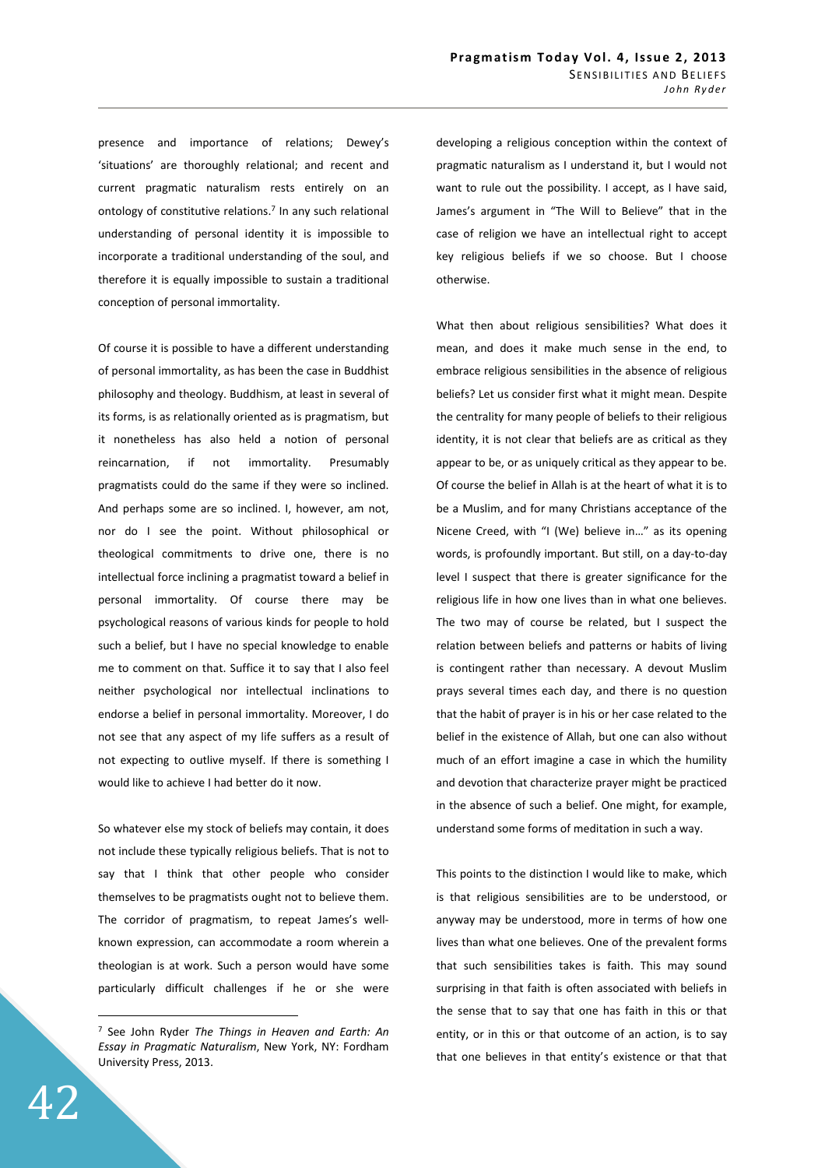presence and importance of relations; Dewey's 'situations' are thoroughly relational; and recent and current pragmatic naturalism rests entirely on an ontology of constitutive relations.<sup>7</sup> In any such relational understanding of personal identity it is impossible to incorporate a traditional understanding of the soul, and therefore it is equally impossible to sustain a traditional conception of personal immortality.

Of course it is possible to have a different understanding of personal immortality, as has been the case in Buddhist philosophy and theology. Buddhism, at least in several of its forms, is as relationally oriented as is pragmatism, but it nonetheless has also held a notion of personal reincarnation, if not immortality. Presumably pragmatists could do the same if they were so inclined. And perhaps some are so inclined. I, however, am not, nor do I see the point. Without philosophical or theological commitments to drive one, there is no intellectual force inclining a pragmatist toward a belief in personal immortality. Of course there may be psychological reasons of various kinds for people to hold such a belief, but I have no special knowledge to enable me to comment on that. Suffice it to say that I also feel neither psychological nor intellectual inclinations to endorse a belief in personal immortality. Moreover, I do not see that any aspect of my life suffers as a result of not expecting to outlive myself. If there is something I would like to achieve I had better do it now.

So whatever else my stock of beliefs may contain, it does not include these typically religious beliefs. That is not to say that I think that other people who consider themselves to be pragmatists ought not to believe them. The corridor of pragmatism, to repeat James's wellknown expression, can accommodate a room wherein a theologian is at work. Such a person would have some particularly difficult challenges if he or she were

developing a religious conception within the context of pragmatic naturalism as I understand it, but I would not want to rule out the possibility. I accept, as I have said, James's argument in "The Will to Believe" that in the case of religion we have an intellectual right to accept key religious beliefs if we so choose. But I choose otherwise.

What then about religious sensibilities? What does it mean, and does it make much sense in the end, to embrace religious sensibilities in the absence of religious beliefs? Let us consider first what it might mean. Despite the centrality for many people of beliefs to their religious identity, it is not clear that beliefs are as critical as they appear to be, or as uniquely critical as they appear to be. Of course the belief in Allah is at the heart of what it is to be a Muslim, and for many Christians acceptance of the Nicene Creed, with "I (We) believe in…" as its opening words, is profoundly important. But still, on a day-to-day level I suspect that there is greater significance for the religious life in how one lives than in what one believes. The two may of course be related, but I suspect the relation between beliefs and patterns or habits of living is contingent rather than necessary. A devout Muslim prays several times each day, and there is no question that the habit of prayer is in his or her case related to the belief in the existence of Allah, but one can also without much of an effort imagine a case in which the humility and devotion that characterize prayer might be practiced in the absence of such a belief. One might, for example, understand some forms of meditation in such a way.

This points to the distinction I would like to make, which is that religious sensibilities are to be understood, or anyway may be understood, more in terms of how one lives than what one believes. One of the prevalent forms that such sensibilities takes is faith. This may sound surprising in that faith is often associated with beliefs in the sense that to say that one has faith in this or that entity, or in this or that outcome of an action, is to say that one believes in that entity's existence or that that

<sup>7</sup> See John Ryder *The Things in Heaven and Earth: An Essay in Pragmatic Naturalism*, New York, NY: Fordham University Press, 2013.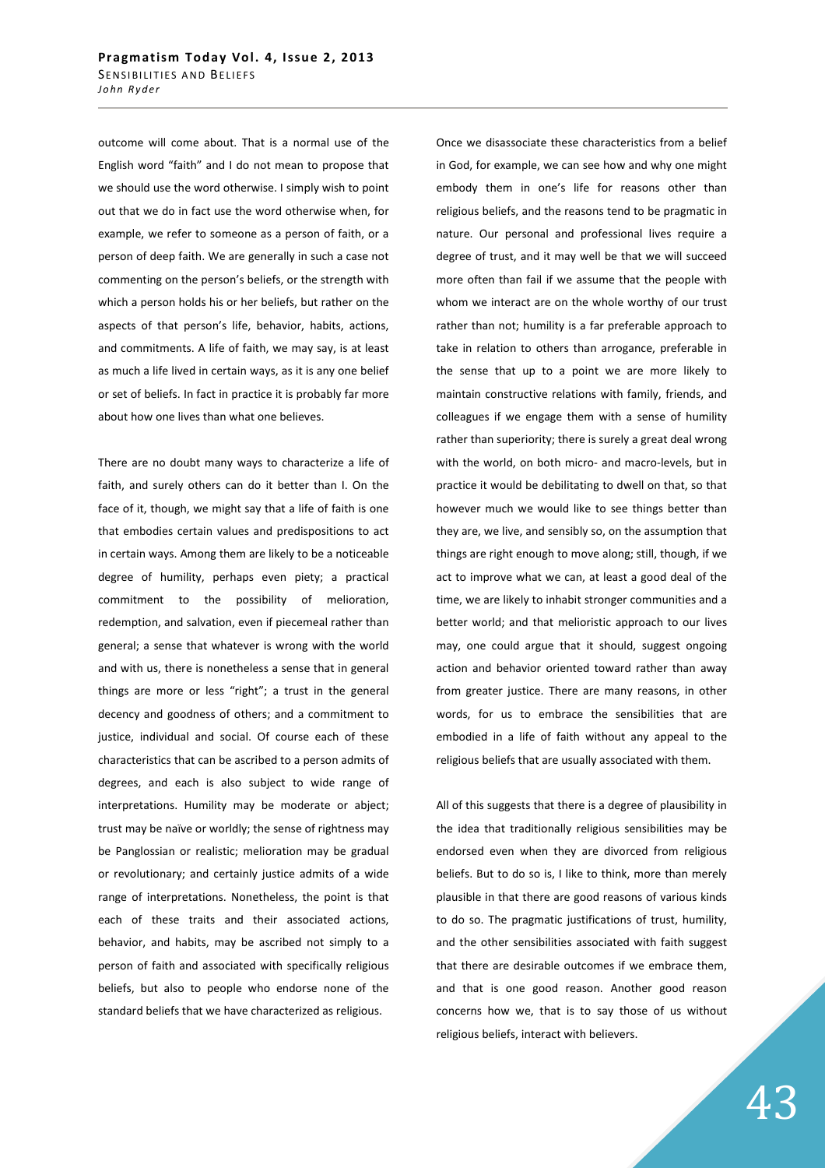outcome will come about. That is a normal use of the English word "faith" and I do not mean to propose that we should use the word otherwise. I simply wish to point out that we do in fact use the word otherwise when, for example, we refer to someone as a person of faith, or a person of deep faith. We are generally in such a case not commenting on the person's beliefs, or the strength with which a person holds his or her beliefs, but rather on the aspects of that person's life, behavior, habits, actions, and commitments. A life of faith, we may say, is at least as much a life lived in certain ways, as it is any one belief or set of beliefs. In fact in practice it is probably far more about how one lives than what one believes.

There are no doubt many ways to characterize a life of faith, and surely others can do it better than I. On the face of it, though, we might say that a life of faith is one that embodies certain values and predispositions to act in certain ways. Among them are likely to be a noticeable degree of humility, perhaps even piety; a practical commitment to the possibility of melioration, redemption, and salvation, even if piecemeal rather than general; a sense that whatever is wrong with the world and with us, there is nonetheless a sense that in general things are more or less "right"; a trust in the general decency and goodness of others; and a commitment to justice, individual and social. Of course each of these characteristics that can be ascribed to a person admits of degrees, and each is also subject to wide range of interpretations. Humility may be moderate or abject; trust may be naïve or worldly; the sense of rightness may be Panglossian or realistic; melioration may be gradual or revolutionary; and certainly justice admits of a wide range of interpretations. Nonetheless, the point is that each of these traits and their associated actions, behavior, and habits, may be ascribed not simply to a person of faith and associated with specifically religious beliefs, but also to people who endorse none of the standard beliefs that we have characterized as religious.

Once we disassociate these characteristics from a belief in God, for example, we can see how and why one might embody them in one's life for reasons other than religious beliefs, and the reasons tend to be pragmatic in nature. Our personal and professional lives require a degree of trust, and it may well be that we will succeed more often than fail if we assume that the people with whom we interact are on the whole worthy of our trust rather than not; humility is a far preferable approach to take in relation to others than arrogance, preferable in the sense that up to a point we are more likely to maintain constructive relations with family, friends, and colleagues if we engage them with a sense of humility rather than superiority; there is surely a great deal wrong with the world, on both micro- and macro-levels, but in practice it would be debilitating to dwell on that, so that however much we would like to see things better than they are, we live, and sensibly so, on the assumption that things are right enough to move along; still, though, if we act to improve what we can, at least a good deal of the time, we are likely to inhabit stronger communities and a better world; and that melioristic approach to our lives may, one could argue that it should, suggest ongoing action and behavior oriented toward rather than away from greater justice. There are many reasons, in other words, for us to embrace the sensibilities that are embodied in a life of faith without any appeal to the religious beliefs that are usually associated with them.

All of this suggests that there is a degree of plausibility in the idea that traditionally religious sensibilities may be endorsed even when they are divorced from religious beliefs. But to do so is, I like to think, more than merely plausible in that there are good reasons of various kinds to do so. The pragmatic justifications of trust, humility, and the other sensibilities associated with faith suggest that there are desirable outcomes if we embrace them, and that is one good reason. Another good reason concerns how we, that is to say those of us without religious beliefs, interact with believers.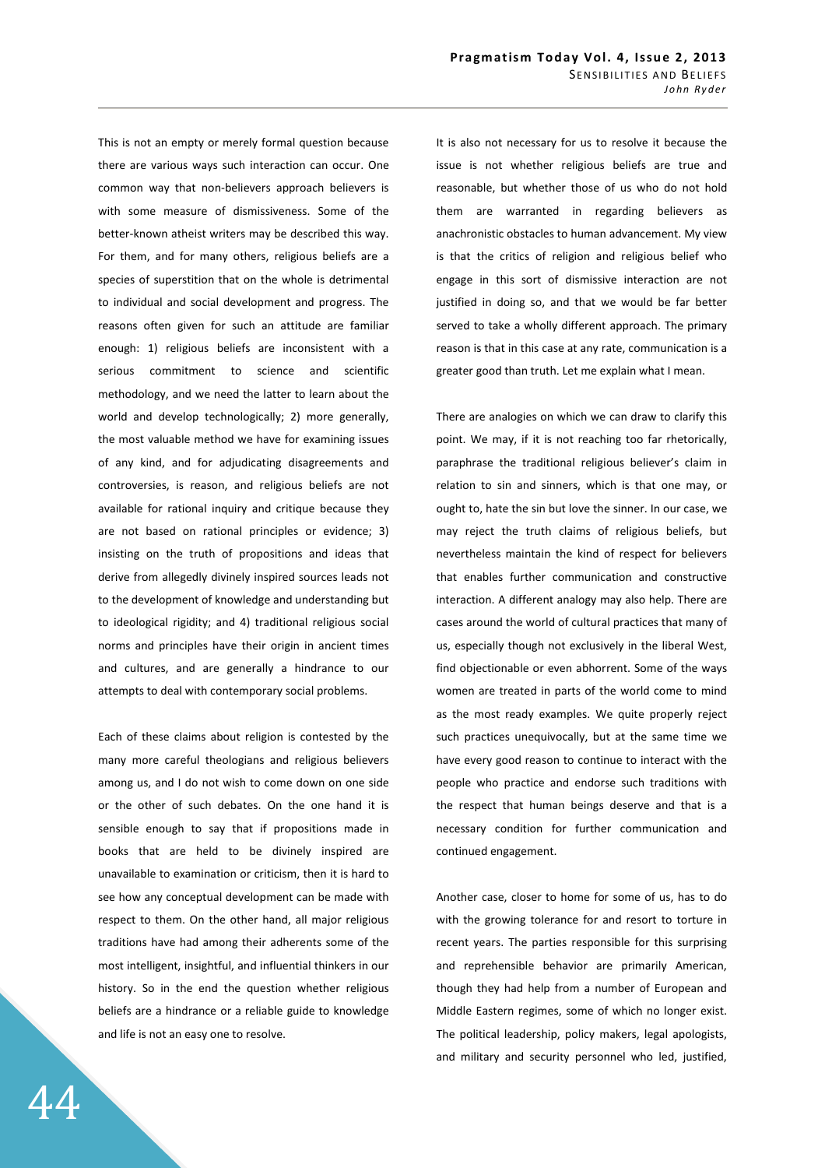This is not an empty or merely formal question because there are various ways such interaction can occur. One common way that non-believers approach believers is with some measure of dismissiveness. Some of the better-known atheist writers may be described this way. For them, and for many others, religious beliefs are a species of superstition that on the whole is detrimental to individual and social development and progress. The reasons often given for such an attitude are familiar enough: 1) religious beliefs are inconsistent with a serious commitment to science and scientific methodology, and we need the latter to learn about the world and develop technologically; 2) more generally, the most valuable method we have for examining issues of any kind, and for adjudicating disagreements and controversies, is reason, and religious beliefs are not available for rational inquiry and critique because they are not based on rational principles or evidence; 3) insisting on the truth of propositions and ideas that derive from allegedly divinely inspired sources leads not to the development of knowledge and understanding but to ideological rigidity; and 4) traditional religious social norms and principles have their origin in ancient times and cultures, and are generally a hindrance to our attempts to deal with contemporary social problems.

Each of these claims about religion is contested by the many more careful theologians and religious believers among us, and I do not wish to come down on one side or the other of such debates. On the one hand it is sensible enough to say that if propositions made in books that are held to be divinely inspired are unavailable to examination or criticism, then it is hard to see how any conceptual development can be made with respect to them. On the other hand, all major religious traditions have had among their adherents some of the most intelligent, insightful, and influential thinkers in our history. So in the end the question whether religious beliefs are a hindrance or a reliable guide to knowledge and life is not an easy one to resolve.

It is also not necessary for us to resolve it because the issue is not whether religious beliefs are true and reasonable, but whether those of us who do not hold them are warranted in regarding believers as anachronistic obstacles to human advancement. My view is that the critics of religion and religious belief who engage in this sort of dismissive interaction are not justified in doing so, and that we would be far better served to take a wholly different approach. The primary reason is that in this case at any rate, communication is a greater good than truth. Let me explain what I mean.

There are analogies on which we can draw to clarify this point. We may, if it is not reaching too far rhetorically, paraphrase the traditional religious believer's claim in relation to sin and sinners, which is that one may, or ought to, hate the sin but love the sinner. In our case, we may reject the truth claims of religious beliefs, but nevertheless maintain the kind of respect for believers that enables further communication and constructive interaction. A different analogy may also help. There are cases around the world of cultural practices that many of us, especially though not exclusively in the liberal West, find objectionable or even abhorrent. Some of the ways women are treated in parts of the world come to mind as the most ready examples. We quite properly reject such practices unequivocally, but at the same time we have every good reason to continue to interact with the people who practice and endorse such traditions with the respect that human beings deserve and that is a necessary condition for further communication and continued engagement.

Another case, closer to home for some of us, has to do with the growing tolerance for and resort to torture in recent years. The parties responsible for this surprising and reprehensible behavior are primarily American, though they had help from a number of European and Middle Eastern regimes, some of which no longer exist. The political leadership, policy makers, legal apologists, and military and security personnel who led, justified,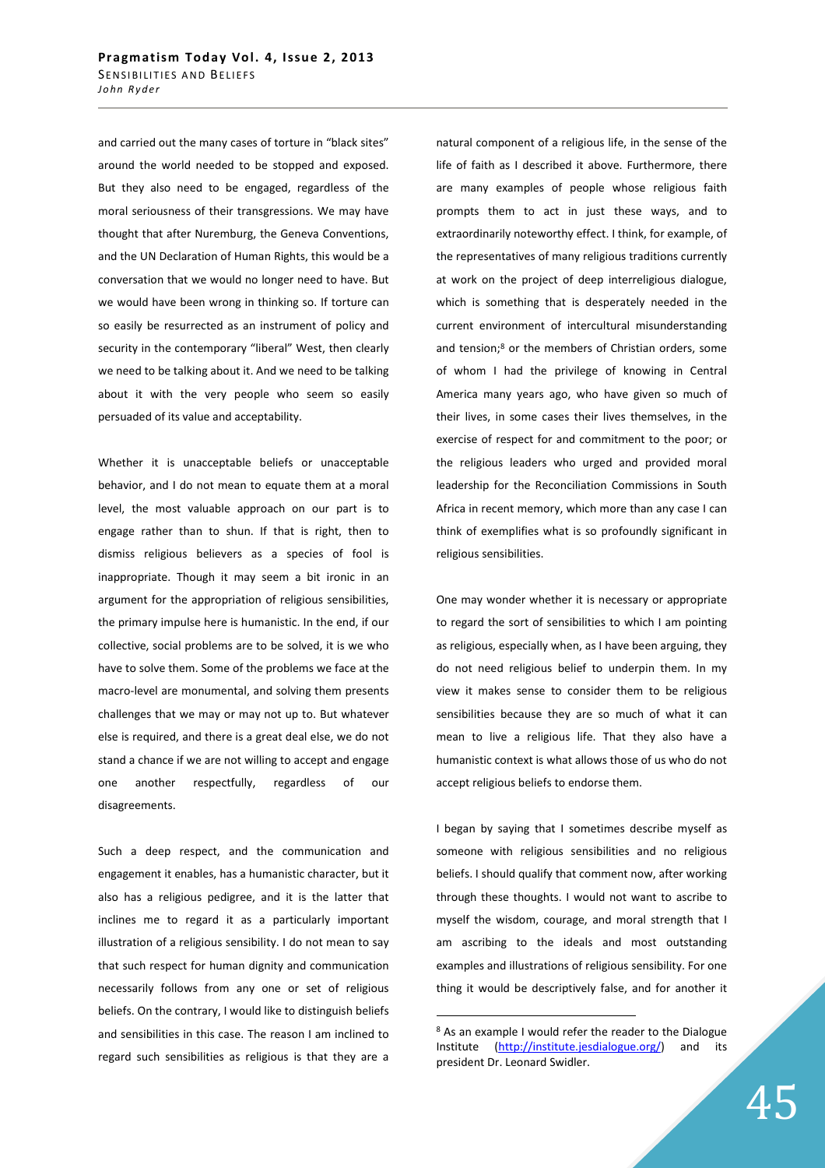and carried out the many cases of torture in "black sites" around the world needed to be stopped and exposed. But they also need to be engaged, regardless of the moral seriousness of their transgressions. We may have thought that after Nuremburg, the Geneva Conventions, and the UN Declaration of Human Rights, this would be a conversation that we would no longer need to have. But we would have been wrong in thinking so. If torture can so easily be resurrected as an instrument of policy and security in the contemporary "liberal" West, then clearly we need to be talking about it. And we need to be talking about it with the very people who seem so easily persuaded of its value and acceptability.

Whether it is unacceptable beliefs or unacceptable behavior, and I do not mean to equate them at a moral level, the most valuable approach on our part is to engage rather than to shun. If that is right, then to dismiss religious believers as a species of fool is inappropriate. Though it may seem a bit ironic in an argument for the appropriation of religious sensibilities, the primary impulse here is humanistic. In the end, if our collective, social problems are to be solved, it is we who have to solve them. Some of the problems we face at the macro-level are monumental, and solving them presents challenges that we may or may not up to. But whatever else is required, and there is a great deal else, we do not stand a chance if we are not willing to accept and engage one another respectfully, regardless of our disagreements.

Such a deep respect, and the communication and engagement it enables, has a humanistic character, but it also has a religious pedigree, and it is the latter that inclines me to regard it as a particularly important illustration of a religious sensibility. I do not mean to say that such respect for human dignity and communication necessarily follows from any one or set of religious beliefs. On the contrary, I would like to distinguish beliefs and sensibilities in this case. The reason I am inclined to regard such sensibilities as religious is that they are a

natural component of a religious life, in the sense of the life of faith as I described it above. Furthermore, there are many examples of people whose religious faith prompts them to act in just these ways, and to extraordinarily noteworthy effect. I think, for example, of the representatives of many religious traditions currently at work on the project of deep interreligious dialogue, which is something that is desperately needed in the current environment of intercultural misunderstanding and tension;<sup>8</sup> or the members of Christian orders, some of whom I had the privilege of knowing in Central America many years ago, who have given so much of their lives, in some cases their lives themselves, in the exercise of respect for and commitment to the poor; or the religious leaders who urged and provided moral leadership for the Reconciliation Commissions in South Africa in recent memory, which more than any case I can think of exemplifies what is so profoundly significant in religious sensibilities.

One may wonder whether it is necessary or appropriate to regard the sort of sensibilities to which I am pointing as religious, especially when, as I have been arguing, they do not need religious belief to underpin them. In my view it makes sense to consider them to be religious sensibilities because they are so much of what it can mean to live a religious life. That they also have a humanistic context is what allows those of us who do not accept religious beliefs to endorse them.

I began by saying that I sometimes describe myself as someone with religious sensibilities and no religious beliefs. I should qualify that comment now, after working through these thoughts. I would not want to ascribe to myself the wisdom, courage, and moral strength that I am ascribing to the ideals and most outstanding examples and illustrations of religious sensibility. For one thing it would be descriptively false, and for another it

<sup>&</sup>lt;sup>8</sup> As an example I would refer the reader to the Dialogue Institute (http://institute.jesdialogue.org/) and its president Dr. Leonard Swidler.